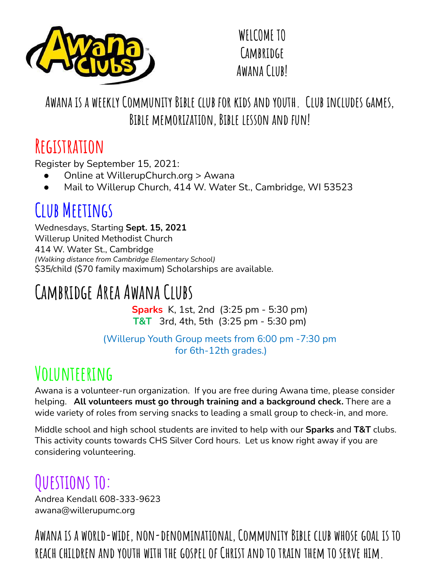

**WELCOME TO Cambridge Awana Club!**

#### **Awana is a weekly Community Bible club for kids and youth. Club includes games, Bible memorization, Bible lesson and fun!**

#### **Registration**

Register by September 15, 2021:

- Online at WillerupChurch.org > Awana
- Mail to Willerup Church, 414 W. Water St., Cambridge, WI 53523

#### **Club Meetings**

Wednesdays, Starting **Sept. 15, 2021** Willerup United Methodist Church 414 W. Water St., Cambridge *(Walking distance from Cambridge Elementary School)* \$35/child (\$70 family maximum) Scholarships are available.

## **Cambridge Area Awana Clubs**

**Sparks** K, 1st, 2nd (3:25 pm - 5:30 pm) **T&T** 3rd, 4th, 5th (3:25 pm - 5:30 pm)

(Willerup Youth Group meets from 6:00 pm -7:30 pm for 6th-12th grades.)

#### **Volunteering**

Awana is a volunteer-run organization. If you are free during Awana time, please consider helping. **All volunteers must go through training and a background check.** There are a wide variety of roles from serving snacks to leading a small group to check-in, and more.

Middle school and high school students are invited to help with our **Sparks** and **T&T** clubs. This activity counts towards CHS Silver Cord hours. Let us know right away if you are considering volunteering.

# **Questions to:**

Andrea Kendall 608-333-9623 awana@willerupumc.org

**Awana is a world-wide, non-denominational, Community Bible club whose goal is to reach children and youth with the gospel of Christ and to train them to serve him.**